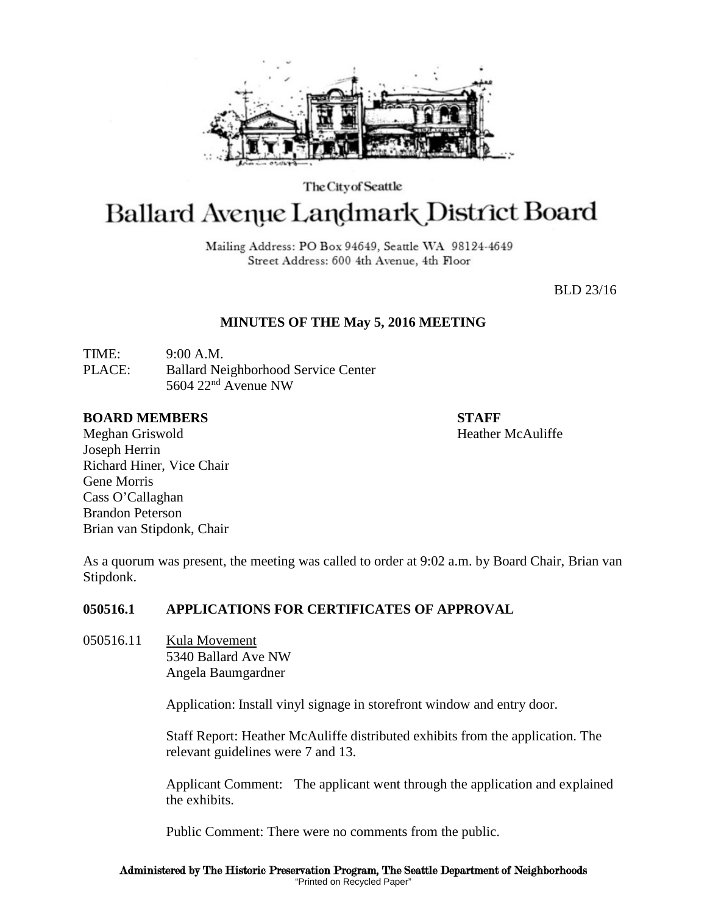

The City of Seattle

# Ballard Avenue Landmark District Board

Mailing Address: PO Box 94649, Seattle WA 98124-4649 Street Address: 600 4th Avenue, 4th Floor

BLD 23/16

## **MINUTES OF THE May 5, 2016 MEETING**

TIME: 9:00 A.M. PLACE: Ballard Neighborhood Service Center 5604  $22<sup>nd</sup>$  Avenue NW

#### **BOARD MEMBERS STAFF**

Meghan Griswold **Heather McAuliffe** Joseph Herrin Richard Hiner, Vice Chair Gene Morris Cass O'Callaghan Brandon Peterson Brian van Stipdonk, Chair

As a quorum was present, the meeting was called to order at 9:02 a.m. by Board Chair, Brian van Stipdonk.

## **050516.1 APPLICATIONS FOR CERTIFICATES OF APPROVAL**

050516.11 Kula Movement 5340 Ballard Ave NW Angela Baumgardner

Application: Install vinyl signage in storefront window and entry door.

Staff Report: Heather McAuliffe distributed exhibits from the application. The relevant guidelines were 7 and 13.

Applicant Comment: The applicant went through the application and explained the exhibits.

Public Comment: There were no comments from the public.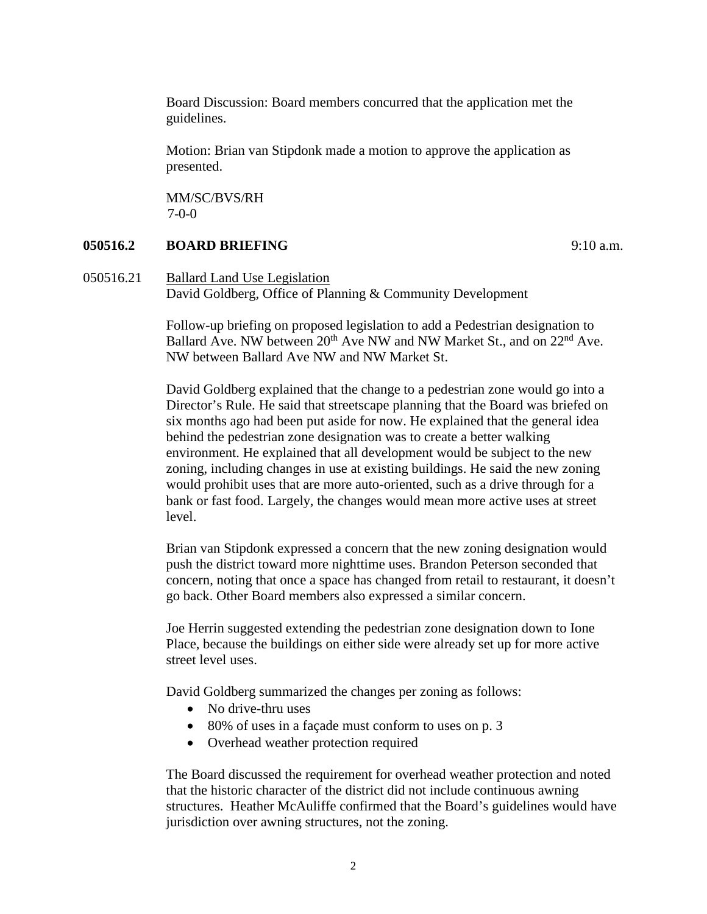Board Discussion: Board members concurred that the application met the guidelines.

Motion: Brian van Stipdonk made a motion to approve the application as presented.

MM/SC/BVS/RH 7-0-0

### **050516.2 BOARD BRIEFING** 9:10 a.m.

050516.21 Ballard Land Use Legislation David Goldberg, Office of Planning & Community Development

> Follow-up briefing on proposed legislation to add a Pedestrian designation to Ballard Ave. NW between 20<sup>th</sup> Ave NW and NW Market St., and on 22<sup>nd</sup> Ave. NW between Ballard Ave NW and NW Market St.

David Goldberg explained that the change to a pedestrian zone would go into a Director's Rule. He said that streetscape planning that the Board was briefed on six months ago had been put aside for now. He explained that the general idea behind the pedestrian zone designation was to create a better walking environment. He explained that all development would be subject to the new zoning, including changes in use at existing buildings. He said the new zoning would prohibit uses that are more auto-oriented, such as a drive through for a bank or fast food. Largely, the changes would mean more active uses at street level.

Brian van Stipdonk expressed a concern that the new zoning designation would push the district toward more nighttime uses. Brandon Peterson seconded that concern, noting that once a space has changed from retail to restaurant, it doesn't go back. Other Board members also expressed a similar concern.

Joe Herrin suggested extending the pedestrian zone designation down to Ione Place, because the buildings on either side were already set up for more active street level uses.

David Goldberg summarized the changes per zoning as follows:

- No drive-thru uses
- 80% of uses in a façade must conform to uses on p. 3
- Overhead weather protection required

The Board discussed the requirement for overhead weather protection and noted that the historic character of the district did not include continuous awning structures. Heather McAuliffe confirmed that the Board's guidelines would have jurisdiction over awning structures, not the zoning.